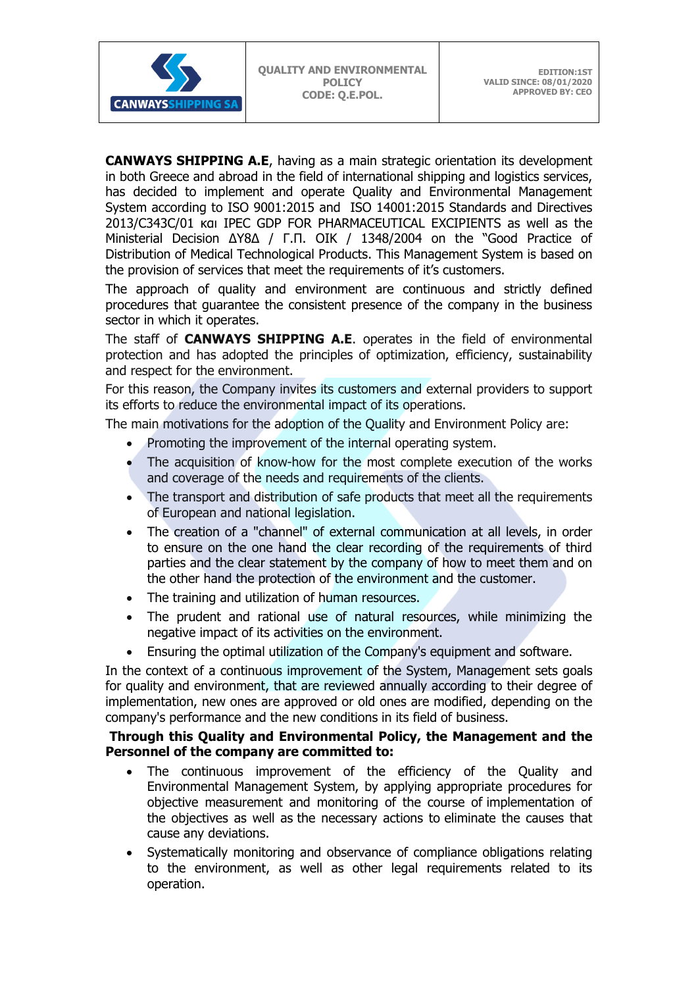**CANWAYS SHIPPING A.E**, having as a main strategic orientation its development in both Greece and abroad in the field of international shipping and logistics services, has decided to implement and operate Quality and Environmental Management System according to ISO 9001:2015 and ISO 14001:2015 Standards and Directives 2013/C343C/01 και IPEC GDP FOR PHARMACEUTICAL EXCIPIENTS as well as the Ministerial Decision ΔΥ8Δ / Γ.Π. ΟΙΚ / 1348/2004 on the "Good Practice of Distribution of Medical Technological Products. This Management System is based on the provision of services that meet the requirements of it's customers.

The approach of quality and environment are continuous and strictly defined procedures that guarantee the consistent presence of the company in the business sector in which it operates.

The staff of **CANWAYS SHIPPING A.E**. operates in the field of environmental protection and has adopted the principles of optimization, efficiency, sustainability and respect for the environment.

For this reason, the Company invites its customers and external providers to support its efforts to reduce the environmental impact of its operations.

The main motivations for the adoption of the Quality and Environment Policy are:

- Promoting the improvement of the internal operating system.
- The acquisition of know-how for the most complete execution of the works and coverage of the needs and requirements of the clients.
- The transport and distribution of safe products that meet all the requirements of European and national legislation.
- The creation of a "channel" of external communication at all levels, in order to ensure on the one hand the clear recording of the requirements of third parties and the clear statement by the company of how to meet them and on the other hand the protection of the environment and the customer.
- The training and utilization of human resources.
- The prudent and rational use of natural resources, while minimizing the negative impact of its activities on the environment.
- Ensuring the optimal utilization of the Company's equipment and software.

In the context of a continuous improvement of the System, Management sets goals for quality and environment, that are reviewed annually according to their degree of implementation, new ones are approved or old ones are modified, depending on the company's performance and the new conditions in its field of business.

## **Through this Quality and Environmental Policy, the Management and the Personnel of the company are committed to:**

- The continuous improvement of the efficiency of the Quality and Environmental Management System, by applying appropriate procedures for objective measurement and monitoring of the course of implementation of the objectives as well as the necessary actions to eliminate the causes that cause any deviations.
- Systematically monitoring and observance of compliance obligations relating to the environment, as well as other legal requirements related to its operation.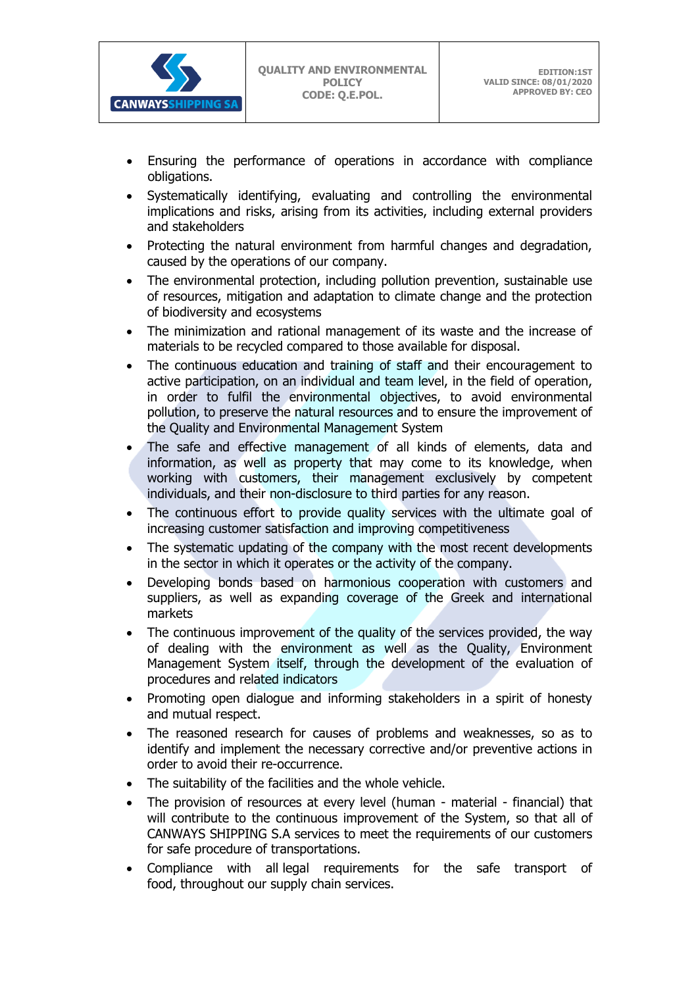

- Ensuring the performance of operations in accordance with compliance obligations.
- Systematically identifying, evaluating and controlling the environmental implications and risks, arising from its activities, including external providers and stakeholders
- Protecting the natural environment from harmful changes and degradation, caused by the operations of our company.
- The environmental protection, including pollution prevention, sustainable use of resources, mitigation and adaptation to climate change and the protection of biodiversity and ecosystems
- The minimization and rational management of its waste and the increase of materials to be recycled compared to those available for disposal.
- The continuous education and training of staff and their encouragement to active participation, on an individual and team level, in the field of operation, in order to fulfil the environmental objectives, to avoid environmental pollution, to preserve the natural resources and to ensure the improvement of the Quality and Environmental Management System
- The safe and effective management of all kinds of elements, data and information, as well as property that may come to its knowledge, when working with customers, their management exclusively by competent individuals, and their non-disclosure to third parties for any reason.
- The continuous effort to provide quality services with the ultimate goal of increasing customer satisfaction and improving competitiveness
- The systematic updating of the company with the most recent developments in the sector in which it operates or the activity of the company.
- Developing bonds based on harmonious cooperation with customers and suppliers, as well as expanding coverage of the Greek and international markets
- The continuous improvement of the quality of the services provided, the way of dealing with the environment as well as the Quality, Environment Management System itself, through the development of the evaluation of procedures and related indicators
- Promoting open dialogue and informing stakeholders in a spirit of honesty and mutual respect.
- The reasoned research for causes of problems and weaknesses, so as to identify and implement the necessary corrective and/or preventive actions in order to avoid their re-occurrence.
- The suitability of the facilities and the whole vehicle.
- The provision of resources at every level (human material financial) that will contribute to the continuous improvement of the System, so that all of CANWAYS SHIPPING S.A services to meet the requirements of our customers for safe procedure of transportations.
- Compliance with all legal requirements for the safe transport of food, throughout our supply chain services.